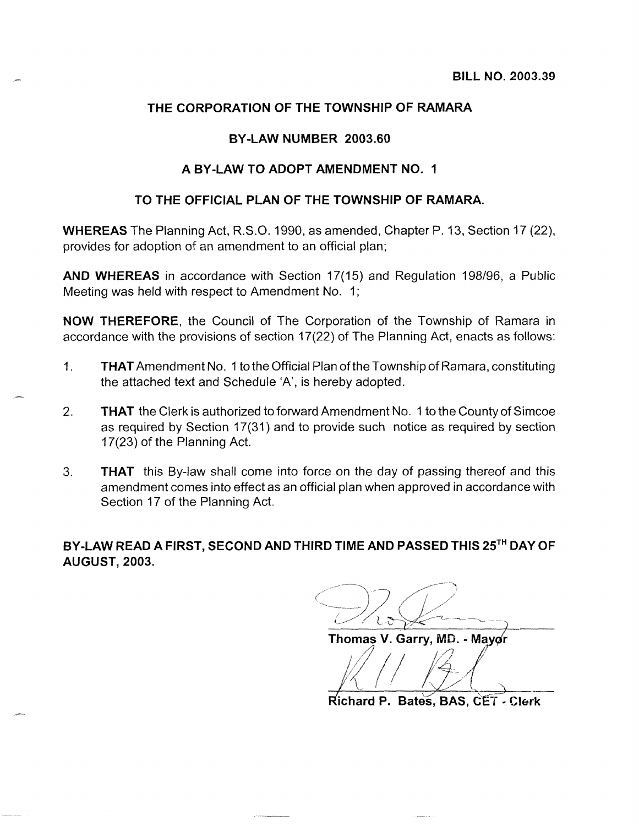## **THE CORPORATION OF THE TOWNSHIP OF RAMARA**

#### **BY -LAW NUMBER 2003.60**

#### **A BY-LAW TO ADOPT AMENDMENT NO. 1**

#### **TO THE OFFICIAL PLAN OF THE TOWNSHIP OF RAMARA.**

**WHEREAS** The Planning Act, R.S.O. 1990, as amended, Chapter P. 13, Section 17 (22), provides for adoption of an amendment to an official plan;

**AND WHEREAS** in accordance with Section 17(15) and Regulation 198/96, a Public Meeting was held with respect to Amendment No. 1;

**NOW THEREFORE,** the Council of The Corporation of the Township of Ramara in accordance with the provisions of section 17(22) of The Planning Act, enacts as follows:

- 1. **THAT** Amendment No.1 to the Official Plan of the Township of Ramara, constituting the attached text and Schedule 'A', is hereby adopted.
- 2. **THAT** the Clerk is authorized to forward Amendment No. 1 to the County of Simcoe as required by Section 17(31) and to provide such notice as required by section 17(23) of the Planning Act.
- 3. **THAT** this By-law shall come into force on the day of passing thereof and this amendment comes into effect as an official plan when approved in accordance with Section 17 of the Planning Act.

**BY-LAW READ A FIRST, SECOND AND THIRD TIME AND PASSED THIS 25TH DAY OF**  AUGUST, 2003.

 $L_{\alpha}$ 

Thomas V. Garry, MD. - Mayor

**Richard P. Bates, BAS. CET - Clerk**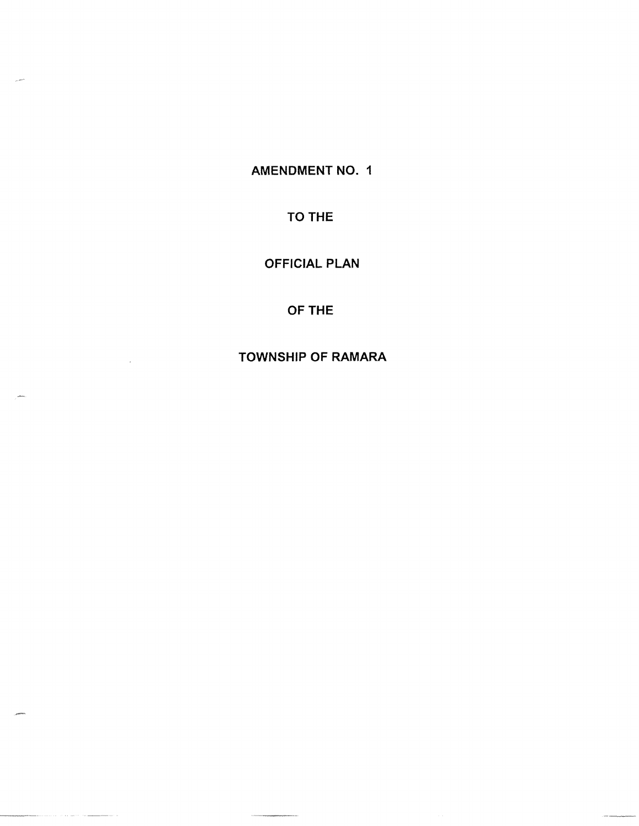AMENDMENT NO. 1

TO THE

OFFICIAL PLAN

OFTHE

TOWNSHIP OF RAMARA

 $\hat{\rho}$  , we have the constant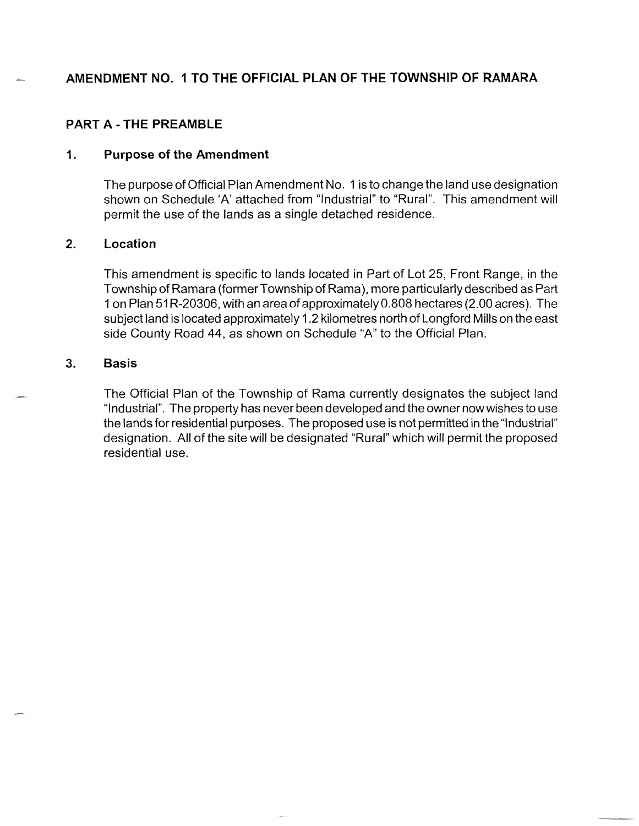# **AMENDMENT NO. 1 TO THE OFFICIAL PLAN OF THE TOWNSHIP OF RAMARA**

### **PART A - THE PREAMBLE**

#### **1. Purpose of the Amendment**

The purpose of Official Plan Amendment No. 1 is to change the land use designation shown on Schedule 'A' attached from "Industrial" to "Rural". This amendment will permit the use of the lands as a single detached residence.

#### **2. Location**

This amendment is specific to lands located in Part of Lot 25, Front Range, in the Township of Ramara (former Township of Rama), more particularly described as Part 1 on Plan 51 R-20306, with an area of approximatelyO.SOS hectares (2.00 acres). The subject land is located approximately 1.2 kilometres north of Longford Mills on the east side County Road 44, as shown on Schedule "A" to the Official Plan.

#### **3. Basis**

The Official Plan of the Township of Rama currently designates the subject land "Industrial". The property has never been developed and the owner now wishes to use the lands for residential purposes. The proposed use is not permitted in the "Industrial" designation. All of the site will be designated "Rural" which will permit the proposed residential use.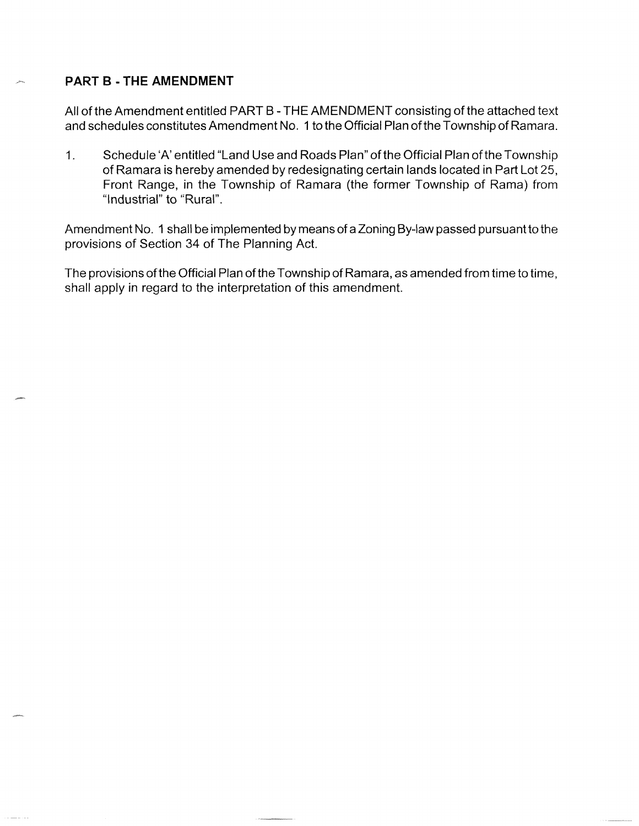### **PART B - THE AMENDMENT**

All of the Amendment entitled PART B - THE AMENDMENT consisting of the attached text and schedules constitutes Amendment No. 1 to the Official Plan ofthe Township of Ramara.

1. Schedule 'A' entitled "Land Use and Roads Plan" of the Official Plan of the Township of Ramara is hereby amended by redesignating certain lands located in Part Lot 25, Front Range, in the Township of Ramara (the former Township of Rama) from "Industrial" to "Rural".

Amendment No. 1 shall be implemented by means of a Zoning By-law passed pursuant to the provisions of Section 34 of The Planning Act.

The provisions of the Official Plan of the Township of Ramara, as amended from time to time, shall apply in regard to the interpretation of this amendment.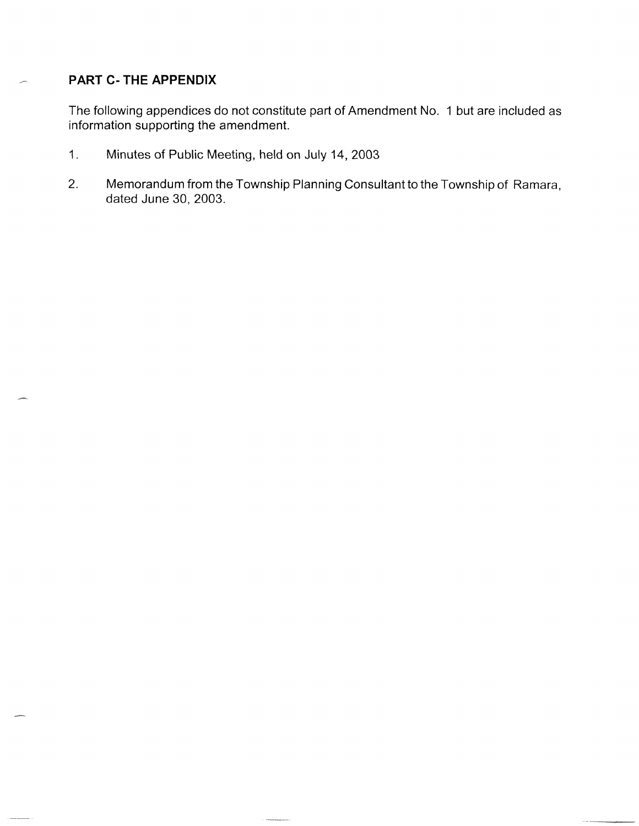# **PART C- THE APPENDIX**

The following appendices do not constitute part of Amendment No. 1 but are included as information supporting the amendment.

- 1. Minutes of Public Meeting, held on July 14, 2003
- 2. Memorandum from the Township Planning Consultant to the Township of Ramara, dated June 30, 2003.